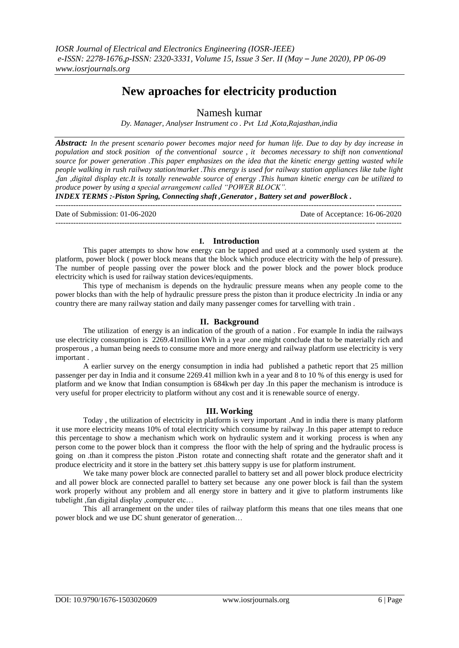# **New aproaches for electricity production**

Namesh kumar

*Dy. Manager, Analyser Instrument co . Pvt Ltd ,Kota,Rajasthan,india*

*Abstract: In the present scenario power becomes major need for human life. Due to day by day increase in population and stock position of the conventional source , it becomes necessary to shift non conventional source for power generation .This paper emphasizes on the idea that the kinetic energy getting wasted while people walking in rush railway station/market .This energy is used for railway station appliances like tube light ,fan ,digital display etc.It is totally renewable source of energy .This human kinetic energy can be utilized to produce power by using a special arrangement called "POWER BLOCK".*

*INDEX TERMS :-Piston Spring, Connecting shaft ,Generator , Battery set and powerBlock .*

--------------------------------------------------------------------------------------------------------------------------------------- Date of Submission: 01-06-2020 Date of Acceptance: 16-06-2020 ---------------------------------------------------------------------------------------------------------------------------------------

### **I. Introduction**

This paper attempts to show how energy can be tapped and used at a commonly used system at the platform, power block ( power block means that the block which produce electricity with the help of pressure). The number of people passing over the power block and the power block and the power block produce electricity which is used for railway station devices/equipments.

This type of mechanism is depends on the hydraulic pressure means when any people come to the power blocks than with the help of hydraulic pressure press the piston than it produce electricity .In india or any country there are many railway station and daily many passenger comes for tarvelling with train .

# **II. Background**

The utilization of energy is an indication of the grouth of a nation . For example In india the railways use electricity consumption is 2269.41million kWh in a year .one might conclude that to be materially rich and prosperous , a human being needs to consume more and more energy and railway platform use electricity is very important .

A earlier survey on the energy consumption in india had published a pathetic report that 25 million passenger per day in India and it consume 2269.41 million kwh in a year and 8 to 10 % of this energy is used for platform and we know that Indian consumption is 684kwh per day .In this paper the mechanism is introduce is very useful for proper electricity to platform without any cost and it is renewable source of energy.

# **III. Working**

Today , the utilization of electricity in platform is very important .And in india there is many platform it use more electricity means 10% of total electricity which consume by railway .In this paper attempt to reduce this percentage to show a mechanism which work on hydraulic system and it working process is when any person come to the power block than it compress the floor with the help of spring and the hydraulic process is going on .than it compress the piston .Piston rotate and connecting shaft rotate and the generator shaft and it produce electricity and it store in the battery set .this battery suppy is use for platform instrument.

We take many power block are connected parallel to battery set and all power block produce electricity and all power block are connected parallel to battery set because any one power block is fail than the system work properly without any problem and all energy store in battery and it give to platform instruments like tubelight ,fan digital display ,computer etc…

This all arrangement on the under tiles of railway platform this means that one tiles means that one power block and we use DC shunt generator of generation…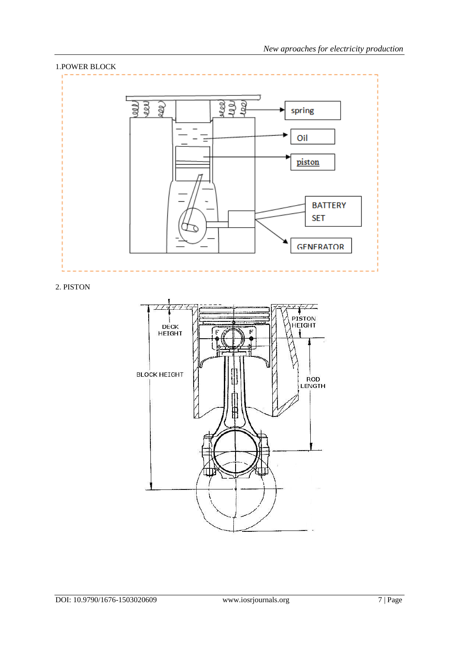

2. PISTON

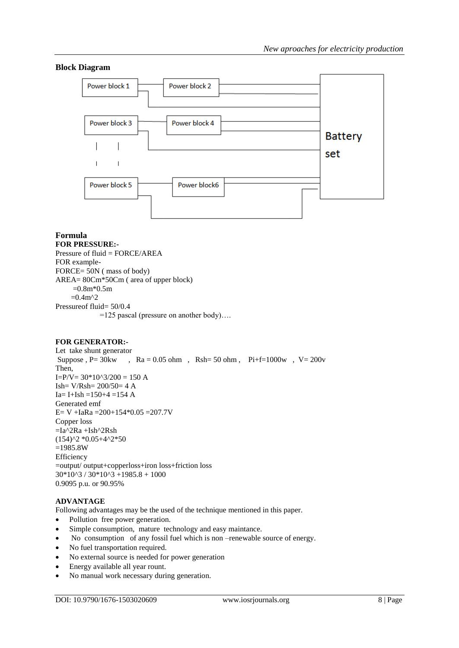# **Block Diagram**



# **Formula**

**FOR PRESSURE:-** Pressure of fluid = FORCE/AREA FOR example-FORCE= 50N ( mass of body) AREA= 80Cm\*50Cm ( area of upper block)  $=0.8m*0.5m$  $=0.4m^2$ Pressureof fluid= 50/0.4 =125 pascal (pressure on another body)….

#### **FOR GENERATOR:-**

Let take shunt generator Suppose , P=  $30 \text{kw}$ , Ra = 0.05 ohm, Rsh= 50 ohm, Pi+f=1000w, V=  $200 \text{v}$ Then,  $I = P/V = 30*10^3/200 = 150$  A Ish=  $V/Rsh= 200/50= 4 A$ Ia= I+Ish =150+4 =154 A Generated emf E= V +IaRa =  $200+154*0.05 = 207.7V$ Copper loss  $=Ia^2Ra +Ish^2Rsh$ (154)^2 \*0.05+4^2\*50 =1985.8W Efficiency =output/ output+copperloss+iron loss+friction loss  $30*10^3 / 30*10^3 + 1985.8 + 1000$ 0.9095 p.u. or 90.95%

# **ADVANTAGE**

Following advantages may be the used of the technique mentioned in this paper.

- Pollution free power generation.
- Simple consumption, mature technology and easy maintance.
- No consumption of any fossil fuel which is non –renewable source of energy.
- No fuel transportation required.
- No external source is needed for power generation
- Energy available all year rount.
- No manual work necessary during generation.